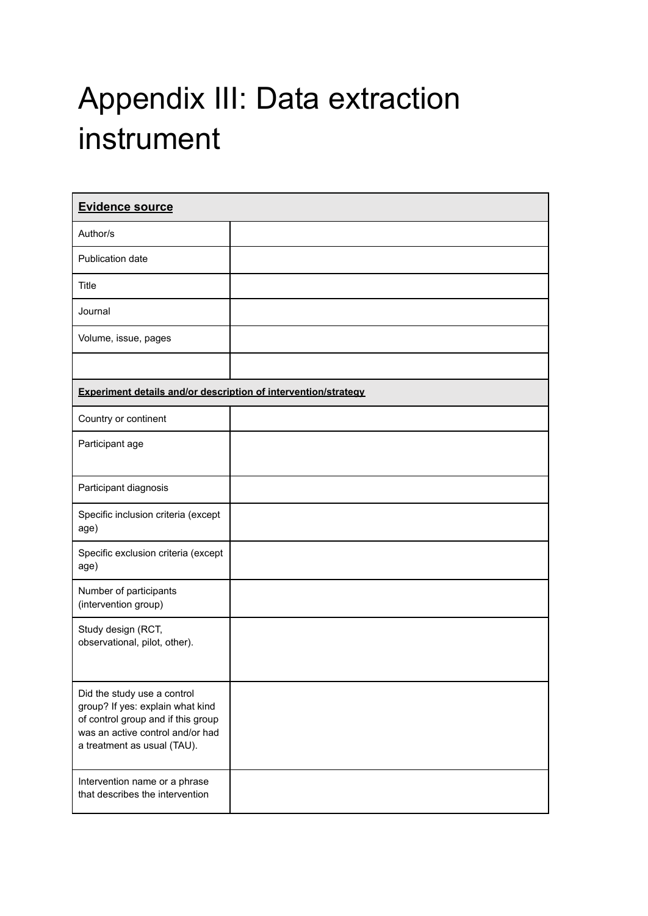## Appendix III: Data extraction instrument

| <b>Evidence source</b>                                                                                                                                                   |  |  |
|--------------------------------------------------------------------------------------------------------------------------------------------------------------------------|--|--|
| Author/s                                                                                                                                                                 |  |  |
| Publication date                                                                                                                                                         |  |  |
| Title                                                                                                                                                                    |  |  |
| Journal                                                                                                                                                                  |  |  |
| Volume, issue, pages                                                                                                                                                     |  |  |
|                                                                                                                                                                          |  |  |
| <b>Experiment details and/or description of intervention/strategy</b>                                                                                                    |  |  |
| Country or continent                                                                                                                                                     |  |  |
| Participant age                                                                                                                                                          |  |  |
| Participant diagnosis                                                                                                                                                    |  |  |
| Specific inclusion criteria (except<br>age)                                                                                                                              |  |  |
| Specific exclusion criteria (except<br>age)                                                                                                                              |  |  |
| Number of participants<br>(intervention group)                                                                                                                           |  |  |
| Study design (RCT,<br>observational, pilot, other).                                                                                                                      |  |  |
| Did the study use a control<br>group? If yes: explain what kind<br>of control group and if this group<br>was an active control and/or had<br>a treatment as usual (TAU). |  |  |
| Intervention name or a phrase<br>that describes the intervention                                                                                                         |  |  |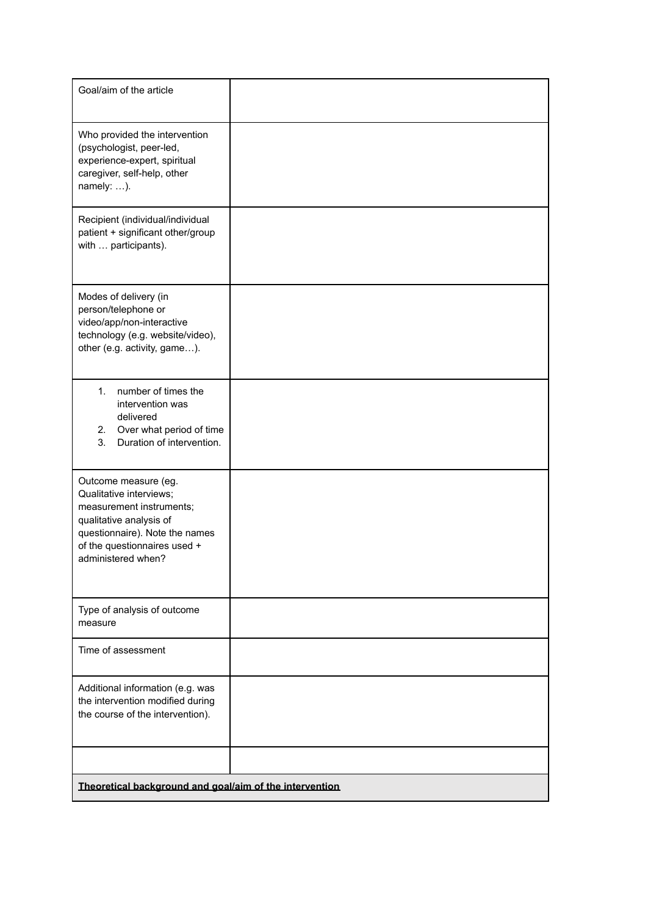| Goal/aim of the article                                                                                                                                                                        |  |  |
|------------------------------------------------------------------------------------------------------------------------------------------------------------------------------------------------|--|--|
| Who provided the intervention<br>(psychologist, peer-led,<br>experience-expert, spiritual<br>caregiver, self-help, other<br>namely: ).                                                         |  |  |
| Recipient (individual/individual<br>patient + significant other/group<br>with  participants).                                                                                                  |  |  |
| Modes of delivery (in<br>person/telephone or<br>video/app/non-interactive<br>technology (e.g. website/video),<br>other (e.g. activity, game).                                                  |  |  |
| number of times the<br>$1_{-}$<br>intervention was<br>delivered<br>Over what period of time<br>2.<br>3.<br>Duration of intervention.                                                           |  |  |
| Outcome measure (eg.<br>Qualitative interviews;<br>measurement instruments;<br>qualitative analysis of<br>questionnaire). Note the names<br>of the questionnaires used +<br>administered when? |  |  |
| Type of analysis of outcome<br>measure                                                                                                                                                         |  |  |
| Time of assessment                                                                                                                                                                             |  |  |
| Additional information (e.g. was<br>the intervention modified during<br>the course of the intervention).                                                                                       |  |  |
|                                                                                                                                                                                                |  |  |
| Theoretical background and goal/aim of the intervention                                                                                                                                        |  |  |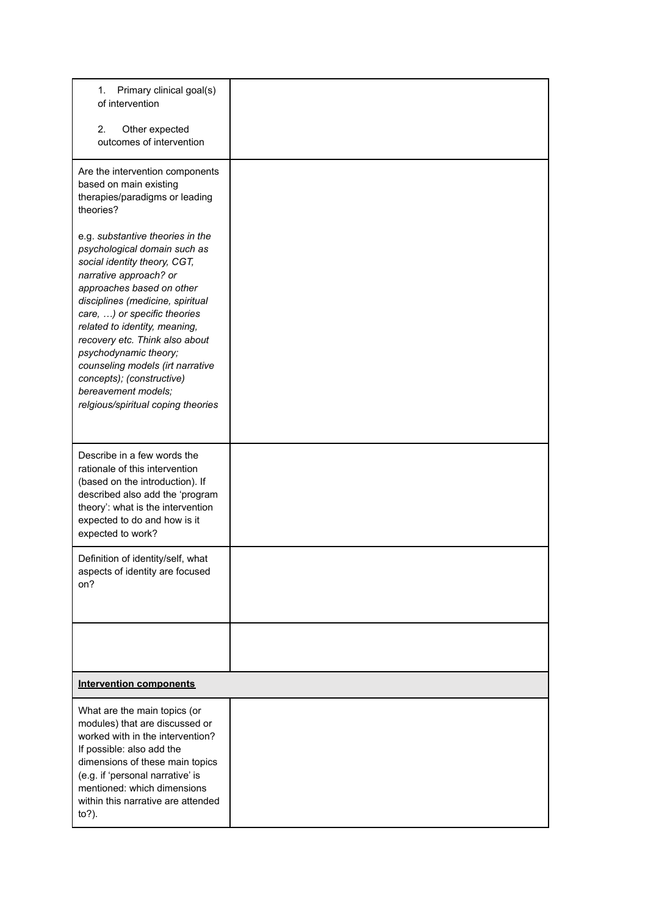| Primary clinical goal(s)<br>1.<br>of intervention                                                                                                                                                                                                                                                                                                                                                                                                     |  |  |
|-------------------------------------------------------------------------------------------------------------------------------------------------------------------------------------------------------------------------------------------------------------------------------------------------------------------------------------------------------------------------------------------------------------------------------------------------------|--|--|
| 2.<br>Other expected<br>outcomes of intervention                                                                                                                                                                                                                                                                                                                                                                                                      |  |  |
| Are the intervention components<br>based on main existing<br>therapies/paradigms or leading<br>theories?                                                                                                                                                                                                                                                                                                                                              |  |  |
| e.g. substantive theories in the<br>psychological domain such as<br>social identity theory, CGT,<br>narrative approach? or<br>approaches based on other<br>disciplines (medicine, spiritual<br>care, ) or specific theories<br>related to identity, meaning,<br>recovery etc. Think also about<br>psychodynamic theory;<br>counseling models (irt narrative<br>concepts); (constructive)<br>bereavement models;<br>relgious/spiritual coping theories |  |  |
| Describe in a few words the<br>rationale of this intervention<br>(based on the introduction). If<br>described also add the 'program<br>theory': what is the intervention<br>expected to do and how is it<br>expected to work?                                                                                                                                                                                                                         |  |  |
| Definition of identity/self, what<br>aspects of identity are focused<br>on?                                                                                                                                                                                                                                                                                                                                                                           |  |  |
|                                                                                                                                                                                                                                                                                                                                                                                                                                                       |  |  |
| <b>Intervention components</b>                                                                                                                                                                                                                                                                                                                                                                                                                        |  |  |
| What are the main topics (or<br>modules) that are discussed or<br>worked with in the intervention?<br>If possible: also add the<br>dimensions of these main topics<br>(e.g. if 'personal narrative' is<br>mentioned: which dimensions<br>within this narrative are attended<br>$to$ ?).                                                                                                                                                               |  |  |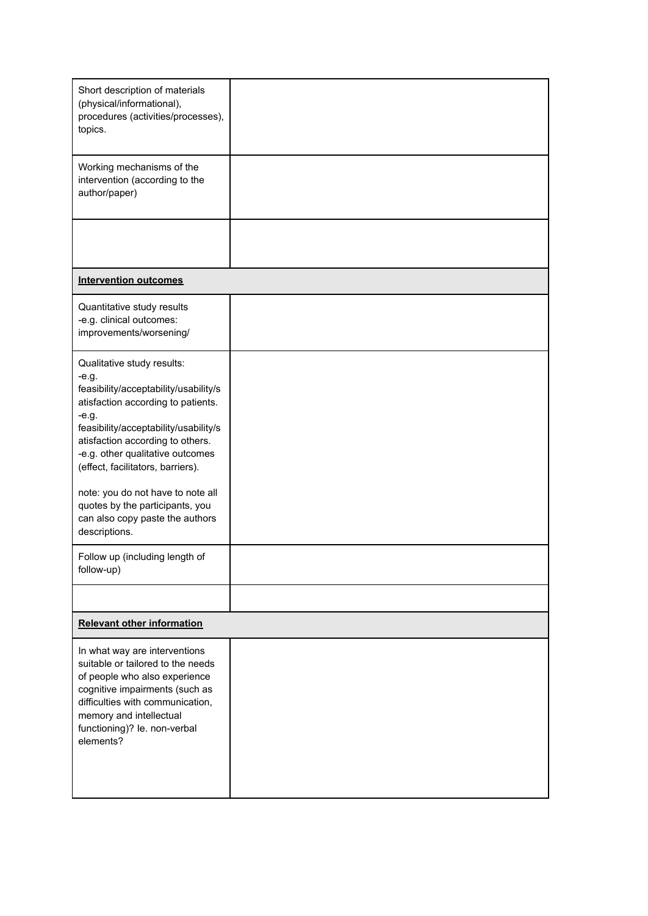| Short description of materials<br>(physical/informational),<br>procedures (activities/processes),<br>topics.                                                                                                                                                                                                                                                                                                                                                  |  |
|---------------------------------------------------------------------------------------------------------------------------------------------------------------------------------------------------------------------------------------------------------------------------------------------------------------------------------------------------------------------------------------------------------------------------------------------------------------|--|
| Working mechanisms of the<br>intervention (according to the<br>author/paper)                                                                                                                                                                                                                                                                                                                                                                                  |  |
|                                                                                                                                                                                                                                                                                                                                                                                                                                                               |  |
| <b>Intervention outcomes</b>                                                                                                                                                                                                                                                                                                                                                                                                                                  |  |
| Quantitative study results<br>-e.g. clinical outcomes:<br>improvements/worsening/                                                                                                                                                                                                                                                                                                                                                                             |  |
| Qualitative study results:<br>-e.g.<br>feasibility/acceptability/usability/s<br>atisfaction according to patients.<br>-e.g.<br>feasibility/acceptability/usability/s<br>atisfaction according to others.<br>-e.g. other qualitative outcomes<br>(effect, facilitators, barriers).<br>note: you do not have to note all<br>quotes by the participants, you<br>can also copy paste the authors<br>descriptions.<br>Follow up (including length of<br>follow-up) |  |
|                                                                                                                                                                                                                                                                                                                                                                                                                                                               |  |
| <b>Relevant other information</b>                                                                                                                                                                                                                                                                                                                                                                                                                             |  |
| In what way are interventions<br>suitable or tailored to the needs<br>of people who also experience<br>cognitive impairments (such as<br>difficulties with communication,<br>memory and intellectual<br>functioning)? le. non-verbal<br>elements?                                                                                                                                                                                                             |  |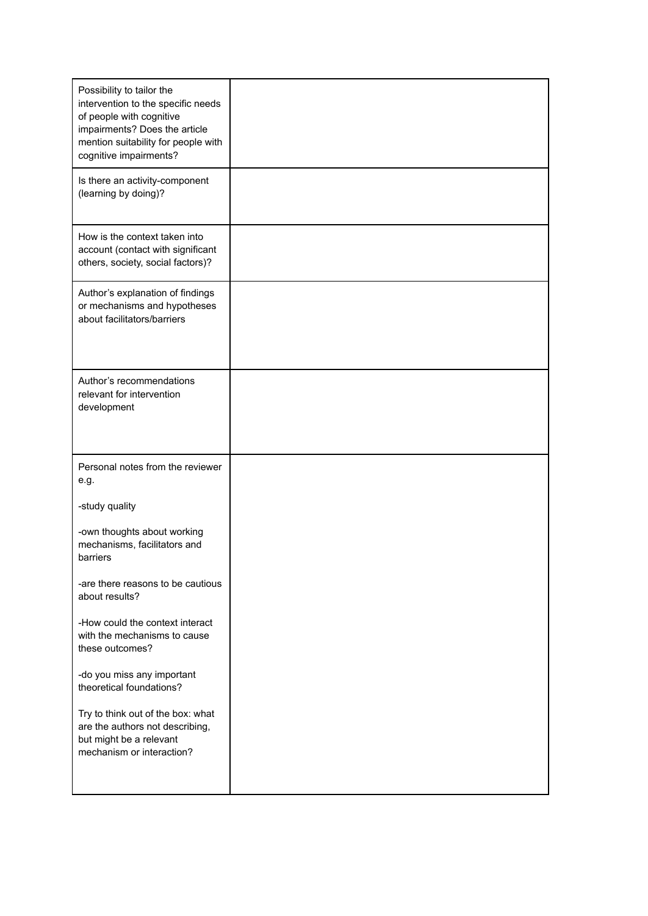| Possibility to tailor the<br>intervention to the specific needs<br>of people with cognitive<br>impairments? Does the article<br>mention suitability for people with<br>cognitive impairments? |  |
|-----------------------------------------------------------------------------------------------------------------------------------------------------------------------------------------------|--|
| Is there an activity-component<br>(learning by doing)?                                                                                                                                        |  |
| How is the context taken into<br>account (contact with significant<br>others, society, social factors)?                                                                                       |  |
| Author's explanation of findings<br>or mechanisms and hypotheses<br>about facilitators/barriers                                                                                               |  |
| Author's recommendations<br>relevant for intervention<br>development                                                                                                                          |  |
| Personal notes from the reviewer<br>e.g.                                                                                                                                                      |  |
| -study quality                                                                                                                                                                                |  |
| -own thoughts about working<br>mechanisms, facilitators and<br>barriers                                                                                                                       |  |
| -are there reasons to be cautious<br>about results?                                                                                                                                           |  |
| -How could the context interact<br>with the mechanisms to cause<br>these outcomes?                                                                                                            |  |
| -do you miss any important<br>theoretical foundations?                                                                                                                                        |  |
| Try to think out of the box: what<br>are the authors not describing,<br>but might be a relevant<br>mechanism or interaction?                                                                  |  |